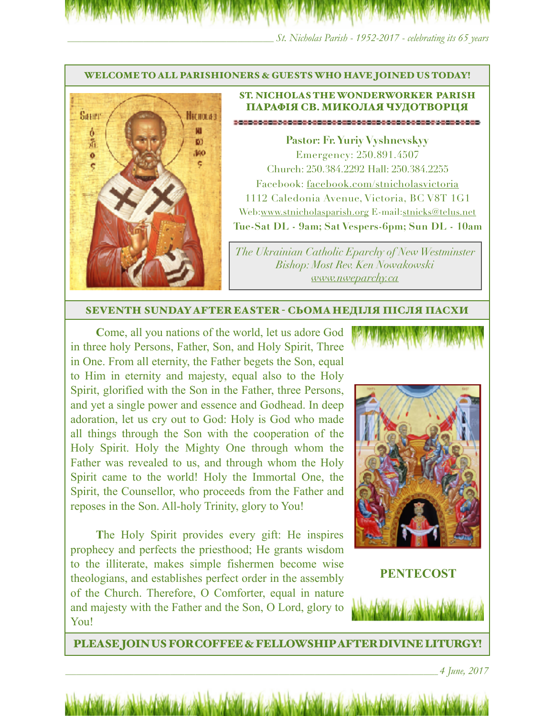

#### WELCOME TO ALL PARISHIONERS & GUESTS WHO HAVE JOINED US TODAY!



#### ST. NICHOLAS THE WONDERWORKER PARISH ПАРАФІЯ СВ. МИКОЛАЯ ЧУДОТВОРЦЯ

**Pastor: Fr. Yuriy Vyshnevskyy** Emergency: 250.891.4507 Church: 250.384.2292 Hall: 250.384.2255 Facebook: facebook.com/stnicholasvictoria 1112 Caledonia Avenue, Victoria, BC V8T 1G1 Web[:www.stnicholasparish.org](http://www.stnicholasparish.org) E-mail:[stnicks@telus.net](mailto:stnicks@telus.net) **Tue-Sat DL - 9am; Sat Vespers-6pm; Sun DL - 10am**

*The Ukrainian Catholic Eparchy of New Westminster Bishop: Most Rev. Ken Nowakowski [www.nweparchy.ca](http://www.nweparchy.ca)*

#### SEVENTH SUNDAY AFTER EASTER - СЬОМАНЕДІЛЯ ПІСЛЯ ПАСХИ

**C**ome, all you nations of the world, let us adore God in three holy Persons, Father, Son, and Holy Spirit, Three in One. From all eternity, the Father begets the Son, equal to Him in eternity and majesty, equal also to the Holy Spirit, glorified with the Son in the Father, three Persons, and yet a single power and essence and Godhead. In deep adoration, let us cry out to God: Holy is God who made all things through the Son with the cooperation of the Holy Spirit. Holy the Mighty One through whom the Father was revealed to us, and through whom the Holy Spirit came to the world! Holy the Immortal One, the Spirit, the Counsellor, who proceeds from the Father and reposes in the Son. All-holy Trinity, glory to You!

**T**he Holy Spirit provides every gift: He inspires prophecy and perfects the priesthood; He grants wisdom to the illiterate, makes simple fishermen become wise theologians, and establishes perfect order in the assembly of the Church. Therefore, O Comforter, equal in nature and majesty with the Father and the Son, O Lord, glory to You!





**PENTECOST** 

PLEASE JOIN US FOR COFFEE & FELLOWSHIP AFTER DIVINE LITURGY!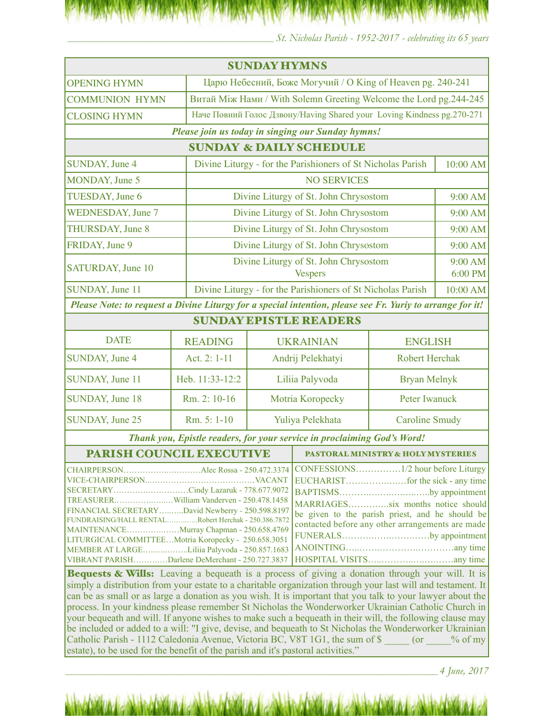| <b>SUNDAY HYMNS</b>                                                                                                                                                                                                                                                                                                                                                                                                                                                                                                                                                                                                                         |                 |                                                                   |                                                                        |                                                             |                    |  |
|---------------------------------------------------------------------------------------------------------------------------------------------------------------------------------------------------------------------------------------------------------------------------------------------------------------------------------------------------------------------------------------------------------------------------------------------------------------------------------------------------------------------------------------------------------------------------------------------------------------------------------------------|-----------------|-------------------------------------------------------------------|------------------------------------------------------------------------|-------------------------------------------------------------|--------------------|--|
| <b>OPENING HYMN</b>                                                                                                                                                                                                                                                                                                                                                                                                                                                                                                                                                                                                                         |                 | Царю Небесний, Боже Могучий / О King of Heaven pg. 240-241        |                                                                        |                                                             |                    |  |
| <b>COMMUNION HYMN</b>                                                                                                                                                                                                                                                                                                                                                                                                                                                                                                                                                                                                                       |                 | Витай Між Нами / With Solemn Greeting Welcome the Lord pg.244-245 |                                                                        |                                                             |                    |  |
| <b>CLOSING HYMN</b>                                                                                                                                                                                                                                                                                                                                                                                                                                                                                                                                                                                                                         |                 |                                                                   | Наче Повний Голос Дзвону/Having Shared your Loving Kindness pg.270-271 |                                                             |                    |  |
| Please join us today in singing our Sunday hymns!                                                                                                                                                                                                                                                                                                                                                                                                                                                                                                                                                                                           |                 |                                                                   |                                                                        |                                                             |                    |  |
| <b>SUNDAY &amp; DAILY SCHEDULE</b>                                                                                                                                                                                                                                                                                                                                                                                                                                                                                                                                                                                                          |                 |                                                                   |                                                                        |                                                             |                    |  |
| SUNDAY, June 4                                                                                                                                                                                                                                                                                                                                                                                                                                                                                                                                                                                                                              |                 | Divine Liturgy - for the Parishioners of St Nicholas Parish       |                                                                        |                                                             | 10:00 AM           |  |
| MONDAY, June 5                                                                                                                                                                                                                                                                                                                                                                                                                                                                                                                                                                                                                              |                 |                                                                   |                                                                        | <b>NO SERVICES</b>                                          |                    |  |
| TUESDAY, June 6                                                                                                                                                                                                                                                                                                                                                                                                                                                                                                                                                                                                                             |                 |                                                                   | Divine Liturgy of St. John Chrysostom                                  |                                                             | 9:00 AM            |  |
| <b>WEDNESDAY, June 7</b>                                                                                                                                                                                                                                                                                                                                                                                                                                                                                                                                                                                                                    |                 |                                                                   | Divine Liturgy of St. John Chrysostom                                  |                                                             | 9:00 AM            |  |
| THURSDAY, June 8                                                                                                                                                                                                                                                                                                                                                                                                                                                                                                                                                                                                                            |                 |                                                                   | Divine Liturgy of St. John Chrysostom                                  |                                                             | 9:00 AM            |  |
| FRIDAY, June 9                                                                                                                                                                                                                                                                                                                                                                                                                                                                                                                                                                                                                              |                 |                                                                   | Divine Liturgy of St. John Chrysostom                                  |                                                             | 9:00 AM            |  |
| SATURDAY, June 10                                                                                                                                                                                                                                                                                                                                                                                                                                                                                                                                                                                                                           |                 |                                                                   | Divine Liturgy of St. John Chrysostom<br><b>Vespers</b>                |                                                             | 9:00 AM<br>6:00 PM |  |
| SUNDAY, June 11                                                                                                                                                                                                                                                                                                                                                                                                                                                                                                                                                                                                                             |                 |                                                                   |                                                                        | Divine Liturgy - for the Parishioners of St Nicholas Parish |                    |  |
| Please Note: to request a Divine Liturgy for a special intention, please see Fr. Yuriy to arrange for it!                                                                                                                                                                                                                                                                                                                                                                                                                                                                                                                                   |                 |                                                                   |                                                                        |                                                             |                    |  |
| <b>SUNDAY EPISTLE READERS</b>                                                                                                                                                                                                                                                                                                                                                                                                                                                                                                                                                                                                               |                 |                                                                   |                                                                        |                                                             |                    |  |
| <b>DATE</b>                                                                                                                                                                                                                                                                                                                                                                                                                                                                                                                                                                                                                                 | <b>READING</b>  | <b>UKRAINIAN</b><br><b>ENGLISH</b>                                |                                                                        |                                                             |                    |  |
| SUNDAY, June 4                                                                                                                                                                                                                                                                                                                                                                                                                                                                                                                                                                                                                              | Act. 2: 1-11    |                                                                   | Andrij Pelekhatyi<br><b>Robert Herchak</b>                             |                                                             |                    |  |
| SUNDAY, June 11                                                                                                                                                                                                                                                                                                                                                                                                                                                                                                                                                                                                                             | Heb. 11:33-12:2 | Liliia Palyvoda                                                   |                                                                        | <b>Bryan Melnyk</b>                                         |                    |  |
| SUNDAY, June 18                                                                                                                                                                                                                                                                                                                                                                                                                                                                                                                                                                                                                             | Rm. 2: 10-16    | Motria Koropecky                                                  |                                                                        | Peter Iwanuck                                               |                    |  |
| SUNDAY, June 25                                                                                                                                                                                                                                                                                                                                                                                                                                                                                                                                                                                                                             | Rm. 5:1-10      | Yuliya Pelekhata                                                  |                                                                        | <b>Caroline Smudy</b>                                       |                    |  |
| Thank you, Epistle readers, for your service in proclaiming God's Word!                                                                                                                                                                                                                                                                                                                                                                                                                                                                                                                                                                     |                 |                                                                   |                                                                        |                                                             |                    |  |
| PARISH COUNCIL EXECUTIVE                                                                                                                                                                                                                                                                                                                                                                                                                                                                                                                                                                                                                    |                 |                                                                   | <b>PASTORAL MINISTRY &amp; HOLY MYSTERIES</b>                          |                                                             |                    |  |
| CONFESSIONS1/2 hour before Liturgy<br>SECRETARYCindy Lazaruk - 778.677.9072<br>BAPTISMSby appointment<br>TREASURERWilliam Vanderven - 250.478.1458<br>MARRIAGESsix months notice should<br>FINANCIAL SECRETARYDavid Newberry - 250.598.8197<br>be given to the parish priest, and he should be<br>FUNDRAISING/HALL RENTALRobert Herchak - 250.386.7872<br>contacted before any other arrangements are made<br>MAINTENANCEMurray Chapman - 250.658.4769<br>FUNERALSby appointment<br>LITURGICAL COMMITTEEMotria Koropecky - 250.658.3051<br>MEMBER AT LARGELiliia Palyvoda - 250.857.1683<br>VIBRANT PARISHDarlene DeMerchant - 250.727.3837 |                 |                                                                   |                                                                        |                                                             |                    |  |
| <b>Bequests &amp; Wills:</b> Leaving a bequeath is a process of giving a donation through your will. It is<br>ejumply a distribution from your estate to a charitable organization through your last will and testament. It                                                                                                                                                                                                                                                                                                                                                                                                                 |                 |                                                                   |                                                                        |                                                             |                    |  |

simply a distribution from your estate to a charitable organization through your last will and testament. It can be as small or as large a donation as you wish. It is important that you talk to your lawyer about the process. In your kindness please remember St Nicholas the Wonderworker Ukrainian Catholic Church in your bequeath and will. If anyone wishes to make such a bequeath in their will, the following clause may be included or added to a will: "I give, devise, and bequeath to St Nicholas the Wonderworker Ukrainian Catholic Parish - 1112 Caledonia Avenue, Victoria BC, V8T 1G1, the sum of \$ \_\_\_\_\_ (or \_\_\_\_% of my estate), to be used for the benefit of the parish and it's pastoral activities."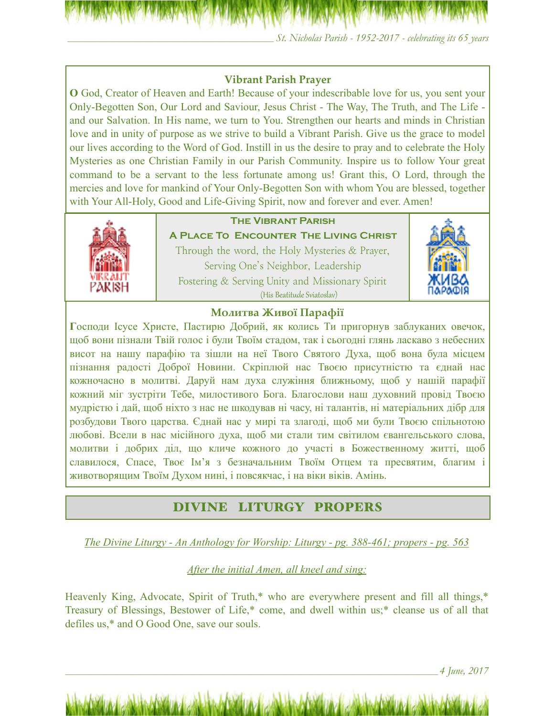## **Vibrant Parish Prayer**

**O** God, Creator of Heaven and Earth! Because of your indescribable love for us, you sent your Only-Begotten Son, Our Lord and Saviour, Jesus Christ - The Way, The Truth, and The Life and our Salvation. In His name, we turn to You. Strengthen our hearts and minds in Christian love and in unity of purpose as we strive to build a Vibrant Parish. Give us the grace to model our lives according to the Word of God. Instill in us the desire to pray and to celebrate the Holy Mysteries as one Christian Family in our Parish Community. Inspire us to follow Your great command to be a servant to the less fortunate among us! Grant this, O Lord, through the mercies and love for mankind of Your Only-Begotten Son with whom You are blessed, together with Your All-Holy, Good and Life-Giving Spirit, now and forever and ever. Amen!



# **The Vibrant Parish**

**A Place To Encounter The Living Christ** Through the word, the Holy Mysteries & Prayer, Serving One's Neighbor, Leadership Fostering & Serving Unity and Missionary Spirit (His Beatitude Sviatoslav)



#### **Молитва Живої Парафії**

**Г**осподи Ісусе Христе, Пастирю Добрий, як колись Ти пригорнув заблуканих овечок, щоб вони пізнали Твій голос і були Твоїм стадом, так і сьогодні глянь ласкаво з небесних висот на нашу парафію та зішли на неї Твого Святого Духа, щоб вона була місцем пізнання радості Доброї Новини. Скріплюй нас Твоєю присутністю та єднай нас кожночасно в молитві. Даруй нам духа служіння ближньому, щоб у нашій парафії кожний міг зустріти Тебе, милостивого Бога. Благослови наш духовний провід Твоєю мудрістю і дай, щоб ніхто з нас не шкодував ні часу, ні талантів, ні матеріальних дібр для розбудови Твого царства. Єднай нас у мирі та злагоді, щоб ми були Твоєю спільнотою любові. Всели в нас місійного духа, щоб ми стали тим світилом євангельського слова, молитви і добрих діл, що кличе кожного до участі в Божественному житті, щоб славилося, Спасе, Твоє Ім'я з безначальним Твоїм Отцем та пресвятим, благим і животворящим Твоїм Духом нині, і повсякчас, і на віки віків. Амінь.

# DIVINE LITURGY PROPERS

*The Divine Liturgy - An Anthology for Worship: Liturgy - pg. 388-461; propers - pg. 563* 

# *After the initial Amen, all kneel and sing:*

Heavenly King, Advocate, Spirit of Truth,\* who are everywhere present and fill all things,\* Treasury of Blessings, Bestower of Life,\* come, and dwell within us;\* cleanse us of all that defiles us,\* and O Good One, save our souls.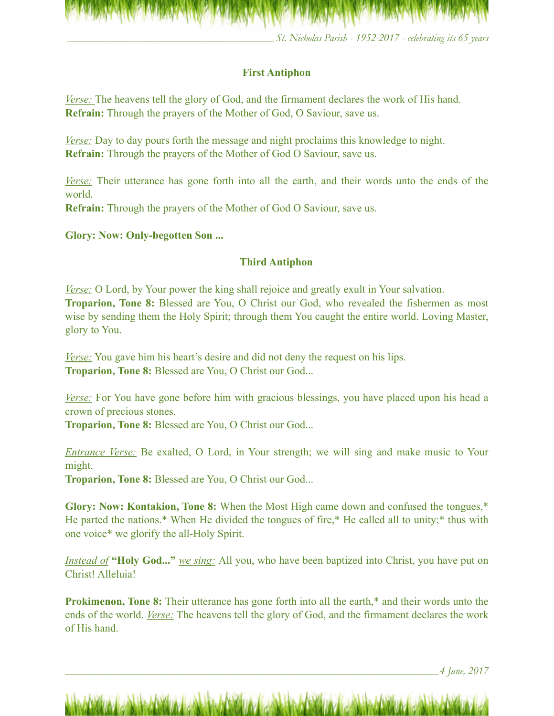

# **First Antiphon**

*Verse:* The heavens tell the glory of God, and the firmament declares the work of His hand. **Refrain:** Through the prayers of the Mother of God, O Saviour, save us.

*Verse:* Day to day pours forth the message and night proclaims this knowledge to night. **Refrain:** Through the prayers of the Mother of God O Saviour, save us.

*Verse:* Their utterance has gone forth into all the earth, and their words unto the ends of the world.

**Refrain:** Through the prayers of the Mother of God O Saviour, save us.

**Glory: Now: Only-begotten Son ...** 

# **Third Antiphon**

*Verse:* O Lord, by Your power the king shall rejoice and greatly exult in Your salvation. **Troparion, Tone 8:** Blessed are You, O Christ our God, who revealed the fishermen as most wise by sending them the Holy Spirit; through them You caught the entire world. Loving Master, glory to You.

*Verse:* You gave him his heart's desire and did not deny the request on his lips. **Troparion, Tone 8:** Blessed are You, O Christ our God...

*Verse:* For You have gone before him with gracious blessings, you have placed upon his head a crown of precious stones.

**Troparion, Tone 8:** Blessed are You, O Christ our God...

*Entrance Verse:* Be exalted, O Lord, in Your strength; we will sing and make music to Your might.

**Troparion, Tone 8:** Blessed are You, O Christ our God...

**Glory: Now: Kontakion, Tone 8:** When the Most High came down and confused the tongues,\* He parted the nations.\* When He divided the tongues of fire,\* He called all to unity;\* thus with one voice\* we glorify the all-Holy Spirit.

*Instead of* **"Holy God..."** *we sing:* All you, who have been baptized into Christ, you have put on Christ! Alleluia!

**Prokimenon, Tone 8:** Their utterance has gone forth into all the earth,<sup>\*</sup> and their words unto the ends of the world. *Verse:* The heavens tell the glory of God, and the firmament declares the work of His hand.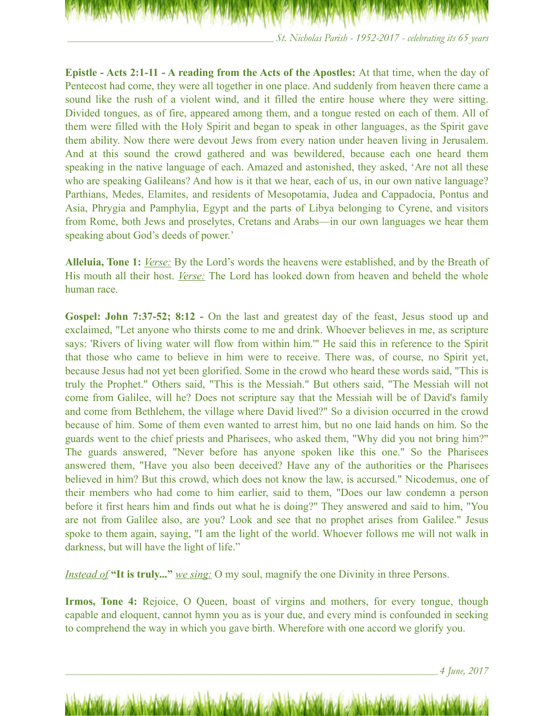

**Epistle - Acts 2:1-11 - A reading from the Acts of the Apostles:** At that time, when the day of Pentecost had come, they were all together in one place. And suddenly from heaven there came a sound like the rush of a violent wind, and it filled the entire house where they were sitting. Divided tongues, as of fire, appeared among them, and a tongue rested on each of them. All of them were filled with the Holy Spirit and began to speak in other languages, as the Spirit gave them ability. Now there were devout Jews from every nation under heaven living in Jerusalem. And at this sound the crowd gathered and was bewildered, because each one heard them speaking in the native language of each. Amazed and astonished, they asked, 'Are not all these who are speaking Galileans? And how is it that we hear, each of us, in our own native language? Parthians, Medes, Elamites, and residents of Mesopotamia, Judea and Cappadocia, Pontus and Asia, Phrygia and Pamphylia, Egypt and the parts of Libya belonging to Cyrene, and visitors from Rome, both Jews and proselytes, Cretans and Arabs—in our own languages we hear them speaking about God's deeds of power.'

**Alleluia, Tone 1:** *Verse:* By the Lord's words the heavens were established, and by the Breath of His mouth all their host. *Verse:* The Lord has looked down from heaven and beheld the whole human race.

Gospel: John 7:37-52; 8:12 - On the last and greatest day of the feast, Jesus stood up and exclaimed, "Let anyone who thirsts come to me and drink. Whoever believes in me, as scripture says: 'Rivers of living water will flow from within him.'" He said this in reference to the Spirit that those who came to believe in him were to receive. There was, of course, no Spirit yet, because Jesus had not yet been glorified. Some in the crowd who heard these words said, "This is truly the Prophet." Others said, "This is the Messiah." But others said, "The Messiah will not come from Galilee, will he? Does not scripture say that the Messiah will be of David's family and come from Bethlehem, the village where David lived?" So a division occurred in the crowd because of him. Some of them even wanted to arrest him, but no one laid hands on him. So the guards went to the chief priests and Pharisees, who asked them, "Why did you not bring him?" The guards answered, "Never before has anyone spoken like this one." So the Pharisees answered them, "Have you also been deceived? Have any of the authorities or the Pharisees believed in him? But this crowd, which does not know the law, is accursed." Nicodemus, one of their members who had come to him earlier, said to them, "Does our law condemn a person before it first hears him and finds out what he is doing?" They answered and said to him, "You are not from Galilee also, are you? Look and see that no prophet arises from Galilee." Jesus spoke to them again, saying, "I am the light of the world. Whoever follows me will not walk in darkness, but will have the light of life."

*Instead of* **"It is truly..."** *we sing:* O my soul, magnify the one Divinity in three Persons.

**Irmos, Tone 4:** Rejoice, O Queen, boast of virgins and mothers, for every tongue, though capable and eloquent, cannot hymn you as is your due, and every mind is confounded in seeking to comprehend the way in which you gave birth. Wherefore with one accord we glorify you.

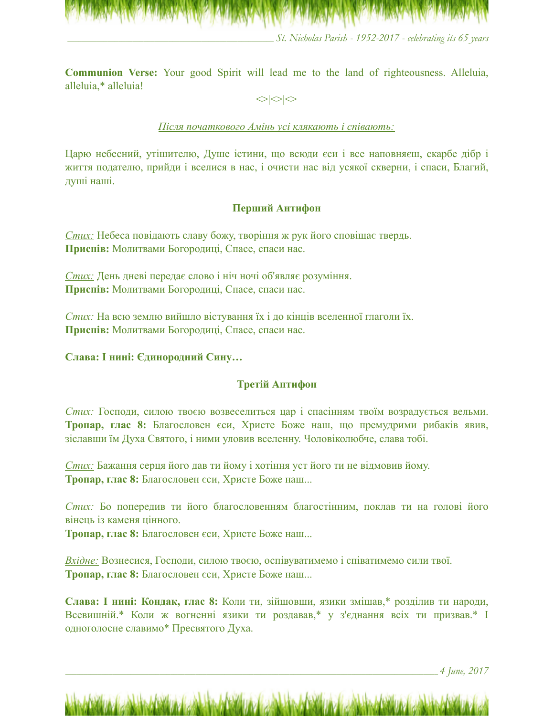

**Communion Verse:** Your good Spirit will lead me to the land of righteousness. Alleluia, alleluia,\* alleluia!

 $\text{R}$ 

### *Після початкового Амінь усі клякають і співають:*

Царю небесний, утішителю, Душе істини, що всюди єси і все наповняєш, скарбе дібр і життя подателю, прийди і вселися в нас, і очисти нас від усякої скверни, і спаси, Благий, душі наші.

## **Перший Антифон**

*Стих:* Небеса повідають славу божу, творіння ж рук його сповіщає твердь. **Приспів:** Молитвами Богородиці, Спасе, спаси нас.

*Стих:* День дневі передає слово і ніч ночі об'являє розуміння. **Приспів:** Молитвами Богородиці, Спасе, спаси нас.

*Стих:* На всю землю вийшло вістування їх і до кінців вселенної глаголи їх. **Приспів:** Молитвами Богородиці, Спасе, спаси нас.

#### **Слава: І нині: Єдинородний Сину…**

# **Третій Антифон**

*Стих:* Господи, силою твоєю возвеселиться цар і спасінням твоїм возрадується вельми. **Тропар, глас 8:** Благословен єси, Христе Боже наш, що премудрими рибаків явив, зіславши їм Духа Святого, і ними уловив вселенну. Чоловіколюбче, слава тобі.

*Стих:* Бажання серця його дав ти йому і хотіння уст його ти не відмовив йому. **Тропар, глас 8:** Благословен єси, Христе Боже наш...

*Стих:* Бо попередив ти його благословенням благостінним, поклав ти на голові його вінець із каменя цінного.

**Тропар, глас 8:** Благословен єси, Христе Боже наш...

*Вхідне:* Вознесися, Господи, силою твоєю, оспівуватимемо і співатимемо сили твої. **Тропар, глас 8:** Благословен єси, Христе Боже наш...

**Слава: І нині: Кондак, глас 8:** Коли ти, зійшовши, язики змішав,\* розділив ти народи, Всевишній.\* Коли ж вогненні язики ти роздавав,\* у з'єднання всіх ти призвав.\* І одноголосне славимо\* Пресвятого Духа.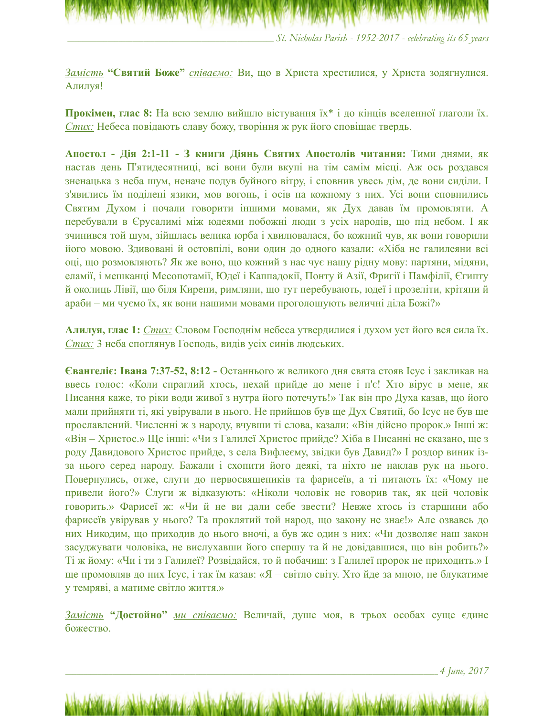

*Замість* **"Святий Боже"** *співаємо:* Ви, що в Христа хрестилися, у Христа зодягнулися. Алилуя!

**Прокімен, глас 8:** На всю землю вийшло вістування їх\* і до кінців вселенної глаголи їх. *Стих:* Небеса повідають славу божу, творіння ж рук його сповіщає твердь.

**Апостол - Дія 2:1-11 - З книги Діянь Святих Апостолів читання:** Тими днями, як настав день П'ятидесятниці, всі вони були вкупі на тім самім місці. Аж ось роздався зненацька з неба шум, неначе подув буйного вітру, і сповнив увесь дім, де вони сиділи. І з'явились їм поділені язики, мов вогонь, і осів на кожному з них. Усі вони сповнились Святим Духом і почали говорити іншими мовами, як Дух давав їм промовляти. А перебували в Єрусалимі між юдеями побожні люди з усіх народів, що під небом. І як зчинився той шум, зійшлась велика юрба і хвилювалася, бо кожний чув, як вони говорили його мовою. Здивовані й остовпілі, вони один до одного казали: «Хіба не галилеяни всі оці, що розмовляють? Як же воно, що кожний з нас чує нашу рідну мову: партяни, мідяни, еламії, і мешканці Месопотамії, Юдеї і Каппадокії, Понту й Азії, Фригії і Памфілії, Єгипту й околиць Лівії, що біля Кирени, римляни, що тут перебувають, юдеї і прозеліти, крітяни й араби – ми чуємо їх, як вони нашими мовами проголошують величні діла Божі?»

**Алилуя, глас 1:** *Стих:* Словом Господнім небеса утвердилися і духом уст його вся сила їх. *Стих:* 3 неба споглянув Господь, видів усіх синів людських.

**Євангеліє: Івана 7:37-52, 8:12 -** Останнього ж великого дня свята стояв Ісус і закликав на ввесь голос: «Коли спраглий хтось, нехай прийде до мене і п'є! Хто вірує в мене, як Писання каже, то ріки води живої з нутра його потечуть!» Так він про Духа казав, що його мали прийняти ті, які увірували в нього. Не прийшов був ще Дух Святий, бо Ісус не був ще прославлений. Численні ж з народу, вчувши ті слова, казали: «Він дійсно пророк.» Інші ж: «Він – Христос.» Ще інші: «Чи з Галилеї Христос прийде? Хіба в Писанні не сказано, ще з роду Давидового Христос прийде, з села Вифлеєму, звідки був Давид?» І роздор виник ізза нього серед народу. Бажали і схопити його деякі, та ніхто не наклав рук на нього. Повернулись, отже, слуги до первосвящеників та фарисеїв, а ті питають їх: «Чому не привели його?» Слуги ж відказують: «Ніколи чоловік не говорив так, як цей чоловік говорить.» Фарисеї ж: «Чи й не ви дали себе звести? Невже хтось із старшини або фарисеїв увірував у нього? Та проклятий той народ, що закону не знає!» Але озвавсь до них Никодим, що приходив до нього вночі, а був же один з них: «Чи дозволяє наш закон засуджувати чоловіка, не вислухавши його спершу та й не довідавшися, що він робить?» Ті ж йому: «Чи і ти з Галилеї? Розвідайся, то й побачиш: з Галилеї пророк не приходить.» І ще промовляв до них Ісус, і так їм казав: «Я – світло світу. Хто йде за мною, не блукатиме у темряві, а матиме світло життя.»

*Замість* **"Достойно"** *ми співаємо:* Величай, душе моя, в трьох особах суще єдине божество.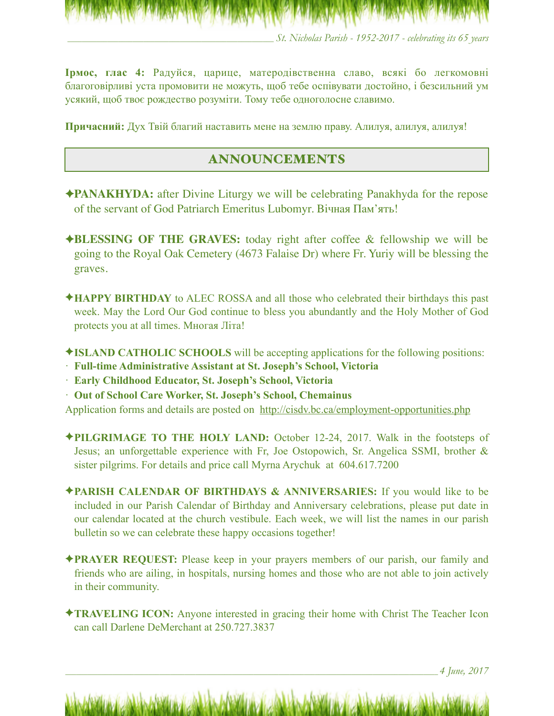

**Ірмос, глас 4:** Радуйся, царице, матеродівственна славо, всякі бо легкомовні благоговірливі уста промовити не можуть, щоб тебе оспівувати достойно, і безсильний ум усякий, щоб твоє рождество розуміти. Тому тебе одноголосне славимо.

**Причасний:** Дух Твій благий наставить мене на землю праву. Алилуя, aлилуя, aлилуя!

# ANNOUNCEMENTS

- ✦**PANAKHYDA:** after Divine Liturgy we will be celebrating Panakhyda for the repose of the servant of God Patriarch Emeritus Lubomyr. Вічная Пам'ять!
- ✦**BLESSING OF THE GRAVES:** today right after coffee & fellowship we will be going to the Royal Oak Cemetery (4673 Falaise Dr) where Fr. Yuriy will be blessing the graves.
- ✦**HAPPY BIRTHDAY** to ALEC ROSSA and all those who celebrated their birthdays this past week. May the Lord Our God continue to bless you abundantly and the Holy Mother of God protects you at all times. Многая Літа!
- ✦**ISLAND CATHOLIC SCHOOLS** will be accepting applications for the following positions:
- · **Full-time Administrative Assistant at St. Joseph's School, Victoria**
- · **Early Childhood Educator, St. Joseph's School, Victoria**
- · **Out of School Care Worker, St. Joseph's School, Chemainus**

Application forms and details are posted on <http://cisdv.bc.ca/employment-opportunities.php>

- ✦**PILGRIMAGE TO THE HOLY LAND:** October 12-24, 2017. Walk in the footsteps of Jesus; an unforgettable experience with Fr, Joe Ostopowich, Sr. Angelica SSMI, brother & sister pilgrims. For details and price call Myrna Arychuk at 604.617.7200
- ✦**PARISH CALENDAR OF BIRTHDAYS & ANNIVERSARIES:** If you would like to be included in our Parish Calendar of Birthday and Anniversary celebrations, please put date in our calendar located at the church vestibule. Each week, we will list the names in our parish bulletin so we can celebrate these happy occasions together!
- ✦**PRAYER REQUEST:** Please keep in your prayers members of our parish, our family and friends who are ailing, in hospitals, nursing homes and those who are not able to join actively in their community.
- ✦**TRAVELING ICON:** Anyone interested in gracing their home with Christ The Teacher Icon can call Darlene DeMerchant at 250.727.3837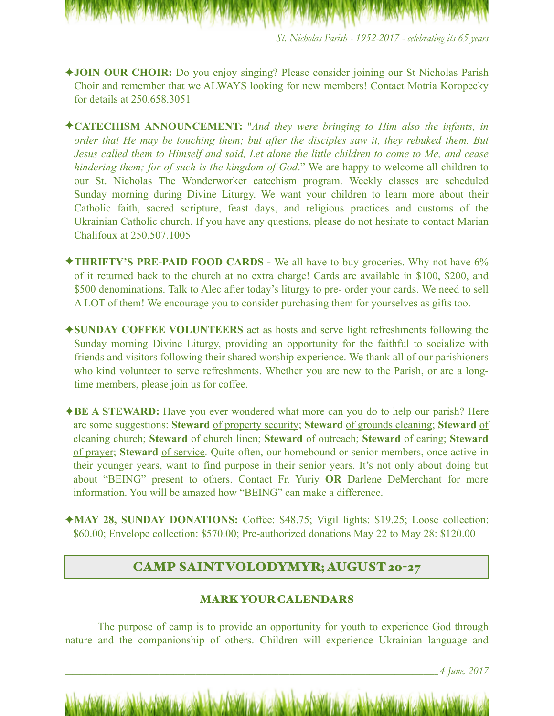

✦**JOIN OUR CHOIR:** Do you enjoy singing? Please consider joining our St Nicholas Parish Choir and remember that we ALWAYS looking for new members! Contact Motria Koropecky for details at 250.658.3051

✦**CATECHISM ANNOUNCEMENT:** "*And they were bringing to Him also the infants, in order that He may be touching them; but after the disciples saw it, they rebuked them. But Jesus called them to Himself and said, Let alone the little children to come to Me, and cease hindering them; for of such is the kingdom of God*." We are happy to welcome all children to our St. Nicholas The Wonderworker catechism program. Weekly classes are scheduled Sunday morning during Divine Liturgy. We want your children to learn more about their Catholic faith, sacred scripture, feast days, and religious practices and customs of the Ukrainian Catholic church. If you have any questions, please do not hesitate to contact Marian Chalifoux at 250.507.1005

✦**THRIFTY'S PRE-PAID FOOD CARDS -** We all have to buy groceries. Why not have 6% of it returned back to the church at no extra charge! Cards are available in \$100, \$200, and \$500 denominations. Talk to Alec after today's liturgy to pre- order your cards. We need to sell A LOT of them! We encourage you to consider purchasing them for yourselves as gifts too.

✦**SUNDAY COFFEE VOLUNTEERS** act as hosts and serve light refreshments following the Sunday morning Divine Liturgy, providing an opportunity for the faithful to socialize with friends and visitors following their shared worship experience. We thank all of our parishioners who kind volunteer to serve refreshments. Whether you are new to the Parish, or are a longtime members, please join us for coffee.

✦**BE A STEWARD:** Have you ever wondered what more can you do to help our parish? Here are some suggestions: **Steward** of property security; **Steward** of grounds cleaning; **Steward** of cleaning church; **Steward** of church linen; **Steward** of outreach; **Steward** of caring; **Steward** of prayer; **Steward** of service. Quite often, our homebound or senior members, once active in their younger years, want to find purpose in their senior years. It's not only about doing but about "BEING" present to others. Contact Fr. Yuriy **OR** Darlene DeMerchant for more information. You will be amazed how "BEING" can make a difference.

✦**MAY 28, SUNDAY DONATIONS:** Coffee: \$48.75; Vigil lights: \$19.25; Loose collection: \$60.00; Envelope collection: \$570.00; Pre-authorized donations May 22 to May 28: \$120.00

# CAMP SAINT VOLODYMYR; AUGUST 20-27

# MARK YOUR CALENDARS

 The purpose of camp is to provide an opportunity for youth to experience God through nature and the companionship of others. Children will experience Ukrainian language and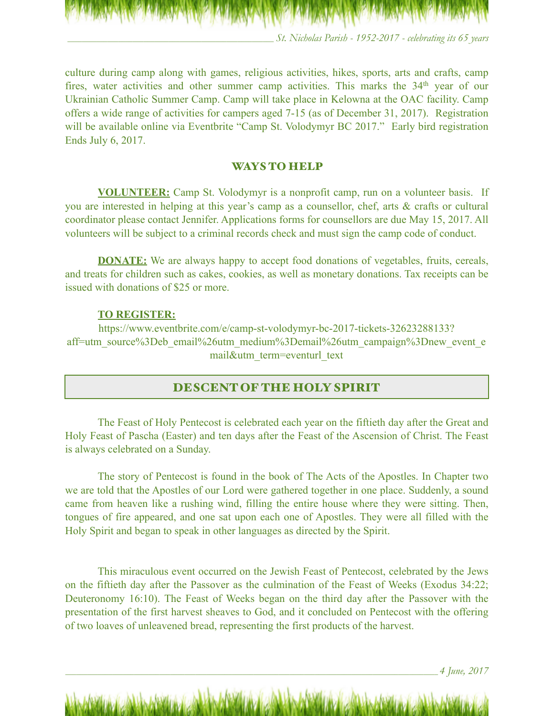

culture during camp along with games, religious activities, hikes, sports, arts and crafts, camp fires, water activities and other summer camp activities. This marks the 34<sup>th</sup> year of our Ukrainian Catholic Summer Camp. Camp will take place in Kelowna at the OAC facility. Camp offers a wide range of activities for campers aged 7-15 (as of December 31, 2017). Registration will be available online via Eventbrite "Camp St. Volodymyr BC 2017." Early bird registration Ends July 6, 2017.

## WAYS TO HELP

**VOLUNTEER:** Camp St. Volodymyr is a nonprofit camp, run on a volunteer basis. If you are interested in helping at this year's camp as a counsellor, chef, arts & crafts or cultural coordinator please contact Jennifer. Applications forms for counsellors are due May 15, 2017. All volunteers will be subject to a criminal records check and must sign the camp code of conduct.

**DONATE:** We are always happy to accept food donations of vegetables, fruits, cereals, and treats for children such as cakes, cookies, as well as monetary donations. Tax receipts can be issued with donations of \$25 or more.

#### **TO REGISTER:**

[https://www.eventbrite.com/e/camp-st-volodymyr-bc-2017-tickets-32623288133?](https://www.eventbrite.com/e/camp-st-volodymyr-bc-2017-tickets-32623288133?aff=utm_source%3Deb_email%26utm_medium%3Demail%26utm_campaign%3Dnew_event_email&utm_term=eventurl_text) [aff=utm\\_source%3Deb\\_email%26utm\\_medium%3Demail%26utm\\_campaign%3Dnew\\_event\\_e](https://www.eventbrite.com/e/camp-st-volodymyr-bc-2017-tickets-32623288133?aff=utm_source%3Deb_email%26utm_medium%3Demail%26utm_campaign%3Dnew_event_email&utm_term=eventurl_text) [mail&utm\\_term=eventurl\\_text](https://www.eventbrite.com/e/camp-st-volodymyr-bc-2017-tickets-32623288133?aff=utm_source%3Deb_email%26utm_medium%3Demail%26utm_campaign%3Dnew_event_email&utm_term=eventurl_text)

# DESCENT OF THE HOLY SPIRIT

The Feast of Holy Pentecost is celebrated each year on the fiftieth day after the Great and Holy Feast of Pascha (Easter) and ten days after the Feast of the Ascension of Christ. The Feast is always celebrated on a Sunday.

 The story of Pentecost is found in the book of The Acts of the Apostles. In Chapter two we are told that the Apostles of our Lord were gathered together in one place. Suddenly, a sound came from heaven like a rushing wind, filling the entire house where they were sitting. Then, tongues of fire appeared, and one sat upon each one of Apostles. They were all filled with the Holy Spirit and began to speak in other languages as directed by the Spirit.

 This miraculous event occurred on the Jewish Feast of Pentecost, celebrated by the Jews on the fiftieth day after the Passover as the culmination of the Feast of Weeks (Exodus 34:22; Deuteronomy 16:10). The Feast of Weeks began on the third day after the Passover with the presentation of the first harvest sheaves to God, and it concluded on Pentecost with the offering of two loaves of unleavened bread, representing the first products of the harvest.

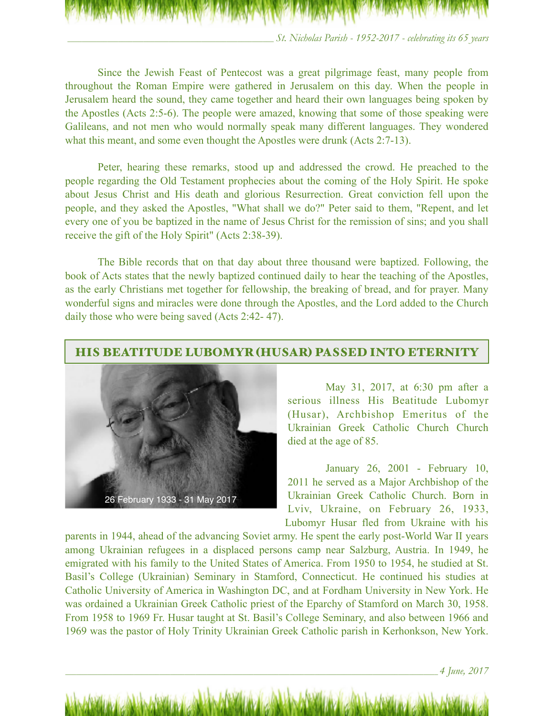

Since the Jewish Feast of Pentecost was a great pilgrimage feast, many people from throughout the Roman Empire were gathered in Jerusalem on this day. When the people in Jerusalem heard the sound, they came together and heard their own languages being spoken by the Apostles (Acts 2:5-6). The people were amazed, knowing that some of those speaking were Galileans, and not men who would normally speak many different languages. They wondered what this meant, and some even thought the Apostles were drunk (Acts 2:7-13).

Peter, hearing these remarks, stood up and addressed the crowd. He preached to the people regarding the Old Testament prophecies about the coming of the Holy Spirit. He spoke about Jesus Christ and His death and glorious Resurrection. Great conviction fell upon the people, and they asked the Apostles, "What shall we do?" Peter said to them, "Repent, and let every one of you be baptized in the name of Jesus Christ for the remission of sins; and you shall receive the gift of the Holy Spirit" (Acts 2:38-39).

 The Bible records that on that day about three thousand were baptized. Following, the book of Acts states that the newly baptized continued daily to hear the teaching of the Apostles, as the early Christians met together for fellowship, the breaking of bread, and for prayer. Many wonderful signs and miracles were done through the Apostles, and the Lord added to the Church daily those who were being saved (Acts 2:42- 47).

# HIS BEATITUDE LUBOMYR (HUSAR) PASSED INTO ETERNITY



 May 31, 2017, at 6:30 pm after a serious illness His Beatitude Lubomyr (Husar), Archbishop Emeritus of the Ukrainian Greek Catholic Church Church died at the age of 85.

 January 26, 2001 - February 10, 2011 he served as a Major Archbishop of the Ukrainian Greek Catholic Church. Born in Lviv, Ukraine, on February 26, 1933, Lubomyr Husar fled from Ukraine with his

parents in 1944, ahead of the advancing Soviet army. He spent the early post-World War II years among Ukrainian refugees in a displaced persons camp near Salzburg, Austria. In 1949, he emigrated with his family to the United States of America. From 1950 to 1954, he studied at St. Basil's College (Ukrainian) Seminary in Stamford, Connecticut. He continued his studies at Catholic University of America in Washington DC, and at Fordham University in New York. He was ordained a Ukrainian Greek Catholic priest of the Eparchy of Stamford on March 30, 1958. From 1958 to 1969 Fr. Husar taught at St. Basil's College Seminary, and also between 1966 and 1969 was the pastor of Holy Trinity Ukrainian Greek Catholic parish in Kerhonkson, New York.

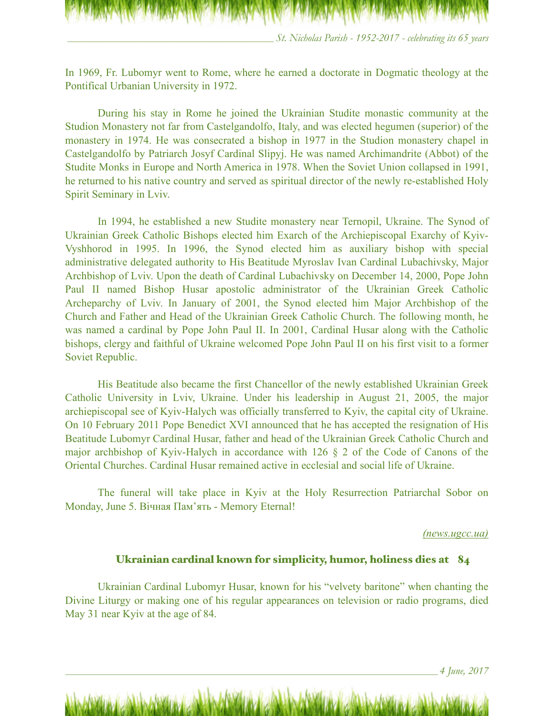

In 1969, Fr. Lubomyr went to Rome, where he earned a doctorate in Dogmatic theology at the Pontifical Urbanian University in 1972.

 During his stay in Rome he joined the Ukrainian Studite monastic community at the Studion Monastery not far from Castelgandolfo, Italy, and was elected hegumen (superior) of the monastery in 1974. He was consecrated a bishop in 1977 in the Studion monastery chapel in Castelgandolfo by Patriarch Josyf Cardinal Slipyj. He was named Archimandrite (Abbot) of the Studite Monks in Europe and North America in 1978. When the Soviet Union collapsed in 1991, he returned to his native country and served as spiritual director of the newly re-established Holy Spirit Seminary in Lviv.

 In 1994, he established a new Studite monastery near Ternopil, Ukraine. The Synod of Ukrainian Greek Catholic Bishops elected him Exarch of the Archiepiscopal Exarchy of Kyiv-Vyshhorod in 1995. In 1996, the Synod elected him as auxiliary bishop with special administrative delegated authority to His Beatitude Myroslav Ivan Cardinal Lubachivsky, Major Archbishop of Lviv. Upon the death of Cardinal Lubachivsky on December 14, 2000, Pope John Paul II named Bishop Husar apostolic administrator of the Ukrainian Greek Catholic Archeparchy of Lviv. In January of 2001, the Synod elected him Major Archbishop of the Church and Father and Head of the Ukrainian Greek Catholic Church. The following month, he was named a cardinal by Pope John Paul II. In 2001, Cardinal Husar along with the Catholic bishops, clergy and faithful of Ukraine welcomed Pope John Paul II on his first visit to a former Soviet Republic.

 His Beatitude also became the first Chancellor of the newly established Ukrainian Greek Catholic University in Lviv, Ukraine. Under his leadership in August 21, 2005, the major archiepiscopal see of Kyiv-Halych was officially transferred to Kyiv, the capital city of Ukraine. On 10 February 2011 Pope Benedict XVI announced that he has accepted the resignation of His Beatitude Lubomyr Cardinal Husar, father and head of the Ukrainian Greek Catholic Church and major archbishop of Kyiv-Halych in accordance with 126 § 2 of the Code of Canons of the Oriental Churches. Cardinal Husar remained active in ecclesial and social life of Ukraine.

 The funeral will take place in Kyiv at the Holy Resurrection Patriarchal Sobor on Monday, June 5. Вічная Пам'ять - Memory Eternal!

*(news.ugcc.ua)* 

#### Ukrainian cardinal known for simplicity, humor, holiness dies at 84

 Ukrainian Cardinal Lubomyr Husar, known for his "velvety baritone" when chanting the Divine Liturgy or making one of his regular appearances on television or radio programs, died May 31 near Kyiv at the age of 84.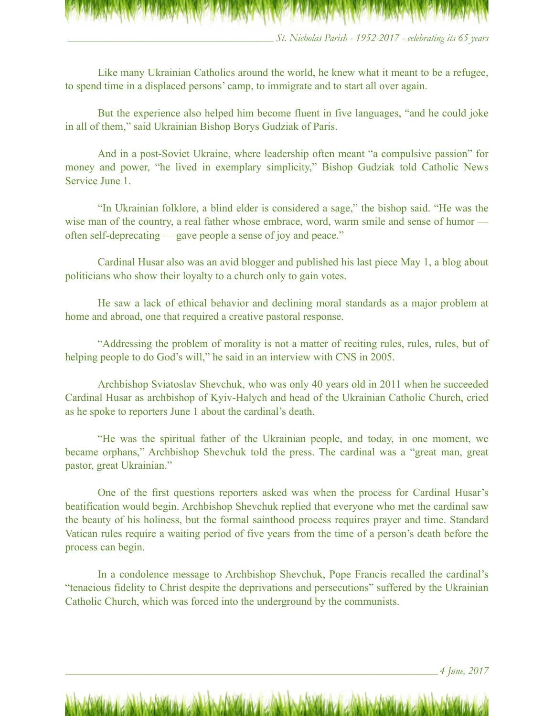

 Like many Ukrainian Catholics around the world, he knew what it meant to be a refugee, to spend time in a displaced persons' camp, to immigrate and to start all over again.

But the experience also helped him become fluent in five languages, "and he could joke in all of them," said Ukrainian Bishop Borys Gudziak of Paris.

And in a post-Soviet Ukraine, where leadership often meant "a compulsive passion" for money and power, "he lived in exemplary simplicity," Bishop Gudziak told Catholic News Service June 1.

"In Ukrainian folklore, a blind elder is considered a sage," the bishop said. "He was the wise man of the country, a real father whose embrace, word, warm smile and sense of humor often self-deprecating — gave people a sense of joy and peace."

Cardinal Husar also was an avid blogger and published his last piece May 1, a blog about politicians who show their loyalty to a church only to gain votes.

He saw a lack of ethical behavior and declining moral standards as a major problem at home and abroad, one that required a creative pastoral response.

"Addressing the problem of morality is not a matter of reciting rules, rules, rules, but of helping people to do God's will," he said in an interview with CNS in 2005.

 Archbishop Sviatoslav Shevchuk, who was only 40 years old in 2011 when he succeeded Cardinal Husar as archbishop of Kyiv-Halych and head of the Ukrainian Catholic Church, cried as he spoke to reporters June 1 about the cardinal's death.

"He was the spiritual father of the Ukrainian people, and today, in one moment, we became orphans," Archbishop Shevchuk told the press. The cardinal was a "great man, great pastor, great Ukrainian."

One of the first questions reporters asked was when the process for Cardinal Husar's beatification would begin. Archbishop Shevchuk replied that everyone who met the cardinal saw the beauty of his holiness, but the formal sainthood process requires prayer and time. Standard Vatican rules require a waiting period of five years from the time of a person's death before the process can begin.

In a condolence message to Archbishop Shevchuk, Pope Francis recalled the cardinal's "tenacious fidelity to Christ despite the deprivations and persecutions" suffered by the Ukrainian Catholic Church, which was forced into the underground by the communists.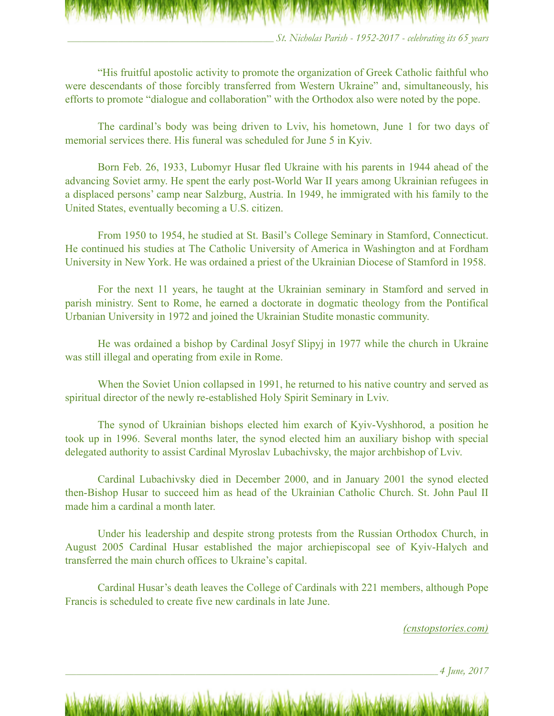

"His fruitful apostolic activity to promote the organization of Greek Catholic faithful who were descendants of those forcibly transferred from Western Ukraine" and, simultaneously, his efforts to promote "dialogue and collaboration" with the Orthodox also were noted by the pope.

 The cardinal's body was being driven to Lviv, his hometown, June 1 for two days of memorial services there. His funeral was scheduled for June 5 in Kyiv.

Born Feb. 26, 1933, Lubomyr Husar fled Ukraine with his parents in 1944 ahead of the advancing Soviet army. He spent the early post-World War II years among Ukrainian refugees in a displaced persons' camp near Salzburg, Austria. In 1949, he immigrated with his family to the United States, eventually becoming a U.S. citizen.

From 1950 to 1954, he studied at St. Basil's College Seminary in Stamford, Connecticut. He continued his studies at The Catholic University of America in Washington and at Fordham University in New York. He was ordained a priest of the Ukrainian Diocese of Stamford in 1958.

For the next 11 years, he taught at the Ukrainian seminary in Stamford and served in parish ministry. Sent to Rome, he earned a doctorate in dogmatic theology from the Pontifical Urbanian University in 1972 and joined the Ukrainian Studite monastic community.

He was ordained a bishop by Cardinal Josyf Slipyj in 1977 while the church in Ukraine was still illegal and operating from exile in Rome.

 When the Soviet Union collapsed in 1991, he returned to his native country and served as spiritual director of the newly re-established Holy Spirit Seminary in Lviv.

 The synod of Ukrainian bishops elected him exarch of Kyiv-Vyshhorod, a position he took up in 1996. Several months later, the synod elected him an auxiliary bishop with special delegated authority to assist Cardinal Myroslav Lubachivsky, the major archbishop of Lviv.

Cardinal Lubachivsky died in December 2000, and in January 2001 the synod elected then-Bishop Husar to succeed him as head of the Ukrainian Catholic Church. St. John Paul II made him a cardinal a month later.

 Under his leadership and despite strong protests from the Russian Orthodox Church, in August 2005 Cardinal Husar established the major archiepiscopal see of Kyiv-Halych and transferred the main church offices to Ukraine's capital.

 Cardinal Husar's death leaves the College of Cardinals with 221 members, although Pope Francis is scheduled to create five new cardinals in late June.

*([cnstopstories.com](http://cnstopstories.com))*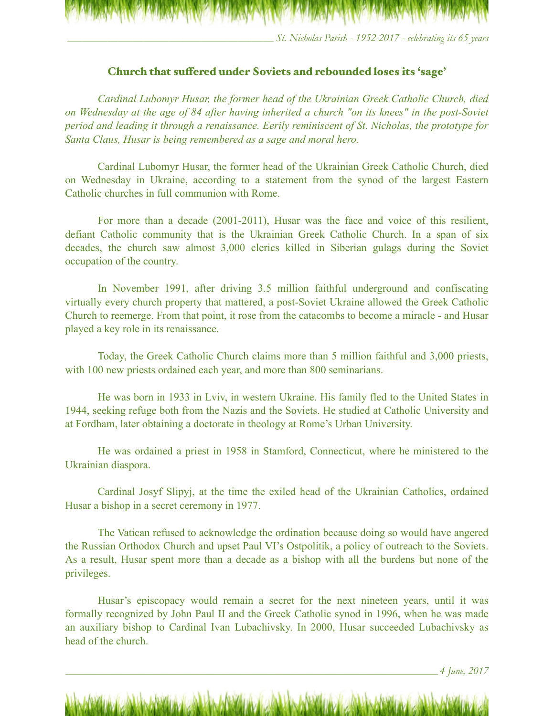

# Church that sufered under Soviets and rebounded loses its 'sage'

 *Cardinal Lubomyr Husar, the former head of the Ukrainian Greek Catholic Church, died on Wednesday at the age of 84 after having inherited a church "on its knees" in the post-Soviet period and leading it through a renaissance. Eerily reminiscent of St. Nicholas, the prototype for Santa Claus, Husar is being remembered as a sage and moral hero.*

 Cardinal Lubomyr Husar, the former head of the Ukrainian Greek Catholic Church, died on Wednesday in Ukraine, according to a statement from the synod of the largest Eastern Catholic churches in full communion with Rome.

 For more than a decade (2001-2011), Husar was the face and voice of this resilient, defiant Catholic community that is the Ukrainian Greek Catholic Church. In a span of six decades, the church saw almost 3,000 clerics killed in Siberian gulags during the Soviet occupation of the country.

 In November 1991, after driving 3.5 million faithful underground and confiscating virtually every church property that mattered, a post-Soviet Ukraine allowed the Greek Catholic Church to reemerge. From that point, it rose from the catacombs to become a miracle - and Husar played a key role in its renaissance.

 Today, the Greek Catholic Church claims more than 5 million faithful and 3,000 priests, with 100 new priests ordained each year, and more than 800 seminarians.

 He was born in 1933 in Lviv, in western Ukraine. His family fled to the United States in 1944, seeking refuge both from the Nazis and the Soviets. He studied at Catholic University and at Fordham, later obtaining a doctorate in theology at Rome's Urban University.

 He was ordained a priest in 1958 in Stamford, Connecticut, where he ministered to the Ukrainian diaspora.

 Cardinal Josyf Slipyj, at the time the exiled head of the Ukrainian Catholics, ordained Husar a bishop in a secret ceremony in 1977.

 The Vatican refused to acknowledge the ordination because doing so would have angered the Russian Orthodox Church and upset Paul VI's Ostpolitik, a policy of outreach to the Soviets. As a result, Husar spent more than a decade as a bishop with all the burdens but none of the privileges.

 Husar's episcopacy would remain a secret for the next nineteen years, until it was formally recognized by John Paul II and the Greek Catholic synod in 1996, when he was made an auxiliary bishop to Cardinal Ivan Lubachivsky. In 2000, Husar succeeded Lubachivsky as head of the church.